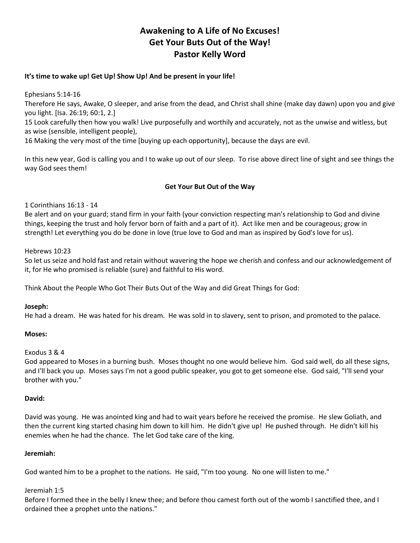# **Awakening to A Life of No Excuses! Get Your Buts Out of the Way! Pastor Kelly Word**

### **It's time to wake up! Get Up! Show Up! And be present in your life!**

Ephesians 5:14-16

Therefore He says, Awake, O sleeper, and arise from the dead, and Christ shall shine (make day dawn) upon you and give you light. [Isa. 26:19; 60:1, 2.]

15 Look carefully then how you walk! Live purposefully and worthily and accurately, not as the unwise and witless, but as wise (sensible, intelligent people),

16 Making the very most of the time [buying up each opportunity], because the days are evil.

In this new year, God is calling you and I to wake up out of our sleep. To rise above direct line of sight and see things the way God sees them!

# **Get Your But Out of the Way**

1 Corinthians 16:13 - 14

Be alert and on your guard; stand firm in your faith (your conviction respecting man's relationship to God and divine things, keeping the trust and holy fervor born of faith and a part of it). Act like men and be courageous; grow in strength! Let everything you do be done in love (true love to God and man as inspired by God's love for us).

Hebrews 10:23

So let us seize and hold fast and retain without wavering the hope we cherish and confess and our acknowledgement of it, for He who promised is reliable (sure) and faithful to His word.

Think About the People Who Got Their Buts Out of the Way and did Great Things for God:

### **Joseph:**

He had a dream. He was hated for his dream. He was sold in to slavery, sent to prison, and promoted to the palace.

### **Moses:**

### Exodus 3 & 4

God appeared to Moses in a burning bush. Moses thought no one would believe him. God said well, do all these signs, and I'll back you up. Moses says I'm not a good public speaker, you got to get someone else. God said, "I'll send your brother with you."

### **David:**

David was young. He was anointed king and had to wait years before he received the promise. He slew Goliath, and then the current king started chasing him down to kill him. He didn't give up! He pushed through. He didn't kill his enemies when he had the chance. The let God take care of the king.

### **Jeremiah:**

God wanted him to be a prophet to the nations. He said, "I'm too young. No one will listen to me."

# Jeremiah 1:5

Before I formed thee in the belly I knew thee; and before thou camest forth out of the womb I sanctified thee, and I ordained thee a prophet unto the nations."